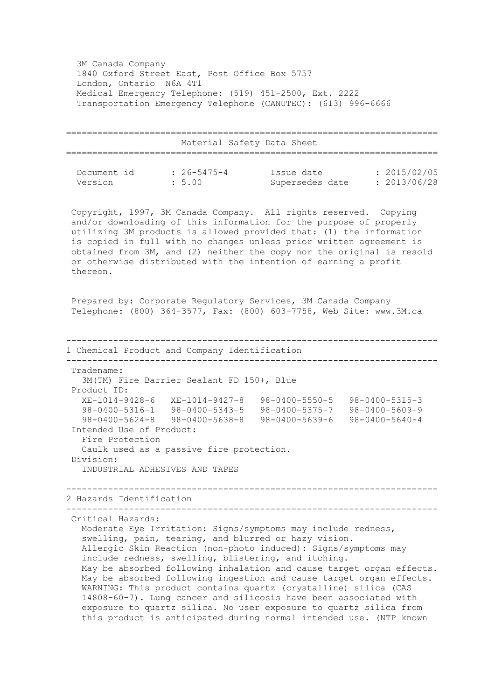3M Canada Company 1840 Oxford Street East, Post Office Box 5757 London, Ontario N6A 4T1 Medical Emergency Telephone: (519) 451-2500, Ext. 2222 Transportation Emergency Telephone (CANUTEC): (613) 996-6666

 ======================================================================= Material Safety Data Sheet ======================================================================= Document id : 26-5475-4 Issue date : 2015/02/05 Version : 5.00 Supersedes date : 2013/06/28 Copyright, 1997, 3M Canada Company. All rights reserved. Copying and/or downloading of this information for the purpose of properly utilizing 3M products is allowed provided that: (1) the information is copied in full with no changes unless prior written agreement is obtained from 3M, and (2) neither the copy nor the original is resold or otherwise distributed with the intention of earning a profit thereon. Prepared by: Corporate Regulatory Services, 3M Canada Company Telephone: (800) 364-3577, Fax: (800) 603-7758, Web Site: www.3M.ca ----------------------------------------------------------------------- 1 Chemical Product and Company Identification ----------------------------------------------------------------------- Tradename: 3M(TM) Fire Barrier Sealant FD 150+, Blue Product ID: XE-1014-9428-6 XE-1014-9427-8 98-0400-5550-5 98-0400-5315-3 98-0400-5316-1 98-0400-5343-5 98-0400-5375-7 98-0400-5609-9 98-0400-5624-8 98-0400-5638-8 98-0400-5639-6 98-0400-5640-4 Intended Use of Product: Fire Protection Caulk used as a passive fire protection. Division: INDUSTRIAL ADHESIVES AND TAPES ----------------------------------------------------------------------- 2 Hazards Identification ----------------------------------------------------------------------- Critical Hazards: Moderate Eye Irritation: Signs/symptoms may include redness, swelling, pain, tearing, and blurred or hazy vision. Allergic Skin Reaction (non-photo induced): Signs/symptoms may include redness, swelling, blistering, and itching. May be absorbed following inhalation and cause target organ effects. May be absorbed following ingestion and cause target organ effects. WARNING: This product contains quartz (crystalline) silica (CAS 14808-60-7). Lung cancer and silicosis have been associated with exposure to quartz silica. No user exposure to quartz silica from this product is anticipated during normal intended use. (NTP known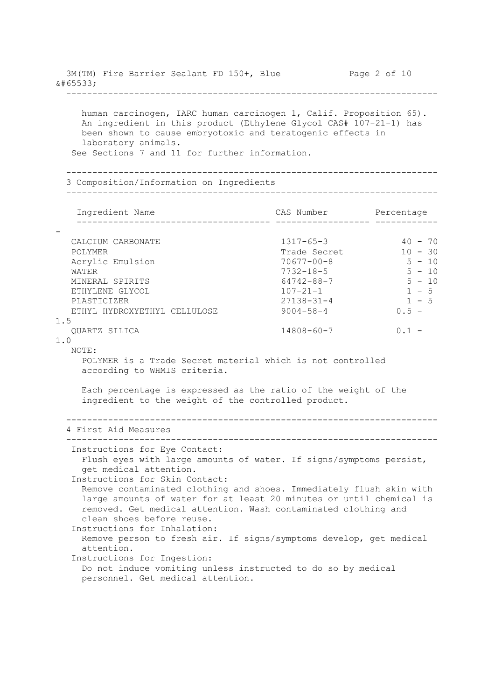3M(TM) Fire Barrier Sealant FD 150+, Blue Page 2 of 10  $\&\#65533$ ; ---------------------------------------------------------------------- human carcinogen, IARC human carcinogen 1, Calif. Proposition 65). An ingredient in this product (Ethylene Glycol CAS# 107-21-1) has been shown to cause embryotoxic and teratogenic effects in laboratory animals. See Sections 7 and 11 for further information. ----------------------------------------------------------------------- 3 Composition/Information on Ingredients ----------------------------------------------------------------------- Ingredient Name CAS Number Percentage ------------------------------------- ------------------ ------------ - CALCIUM CARBONATE 1317-65-3 40 - 70 POLYMER 10 - 30 Acrylic Emulsion 70677-00-8 5 - 10 WATER 5 - 10 MINERAL SPIRITS 64742-88-7 5 - 10 ETHYLENE GLYCOL 107-21-1 1 - 5 PLASTICIZER 27138-31-4 1 - 5 ETHYL HYDROXYETHYL CELLULOSE 9004-58-4 0.5 -1.5 QUARTZ SILICA 14808-60-7 0.1 - 1.0 NOTE: POLYMER is a Trade Secret material which is not controlled according to WHMIS criteria. Each percentage is expressed as the ratio of the weight of the ingredient to the weight of the controlled product. ----------------------------------------------------------------------- 4 First Aid Measures ----------------------------------------------------------------------- Instructions for Eye Contact: Flush eyes with large amounts of water. If signs/symptoms persist, get medical attention. Instructions for Skin Contact: Remove contaminated clothing and shoes. Immediately flush skin with large amounts of water for at least 20 minutes or until chemical is removed. Get medical attention. Wash contaminated clothing and clean shoes before reuse. Instructions for Inhalation: Remove person to fresh air. If signs/symptoms develop, get medical attention. Instructions for Ingestion: Do not induce vomiting unless instructed to do so by medical personnel. Get medical attention.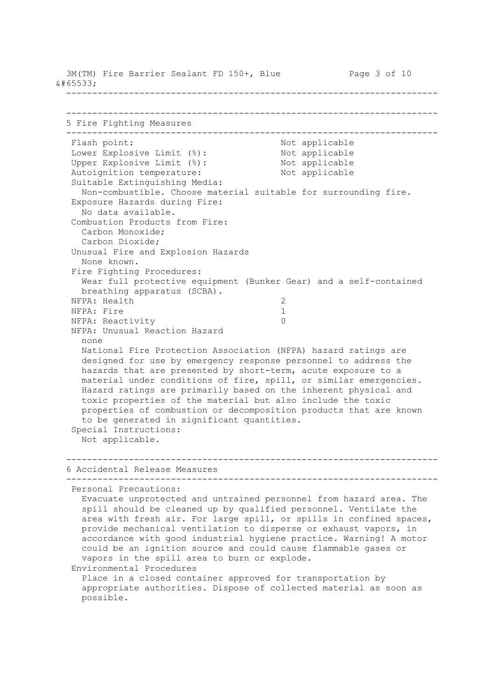3M(TM) Fire Barrier Sealant FD 150+, Blue Page 3 of 10  $\&\#65533$ ; ----------------------------------------------------------------------- ----------------------------------------------------------------------- 5 Fire Fighting Measures ----------------------------------------------------------------------- Flash point:  $\qquad \qquad \qquad$  Not applicable Lower Explosive Limit (%):<br>
Upper Explosive Limit (%):<br>
Not applicable<br>
Not applicable Upper Explosive Limit  $(\frac{1}{6})$ : Autoignition temperature: Not applicable Suitable Extinguishing Media: Non-combustible. Choose material suitable for surrounding fire. Exposure Hazards during Fire: No data available. Combustion Products from Fire: Carbon Monoxide; Carbon Dioxide; Unusual Fire and Explosion Hazards None known. Fire Fighting Procedures: Wear full protective equipment (Bunker Gear) and a self-contained breathing apparatus (SCBA). NFPA: Health 2 NFPA: Fire 1 NFPA: Reactivity 0 NFPA: Unusual Reaction Hazard none National Fire Protection Association (NFPA) hazard ratings are designed for use by emergency response personnel to address the hazards that are presented by short-term, acute exposure to a material under conditions of fire, spill, or similar emergencies. Hazard ratings are primarily based on the inherent physical and toxic properties of the material but also include the toxic properties of combustion or decomposition products that are known to be generated in significant quantities. Special Instructions: Not applicable. ----------------------------------------------------------------------- 6 Accidental Release Measures ----------------------------------------------------------------------- Personal Precautions: Evacuate unprotected and untrained personnel from hazard area. The spill should be cleaned up by qualified personnel. Ventilate the area with fresh air. For large spill, or spills in confined spaces, provide mechanical ventilation to disperse or exhaust vapors, in accordance with good industrial hygiene practice. Warning! A motor could be an ignition source and could cause flammable gases or vapors in the spill area to burn or explode. Environmental Procedures Place in a closed container approved for transportation by appropriate authorities. Dispose of collected material as soon as possible.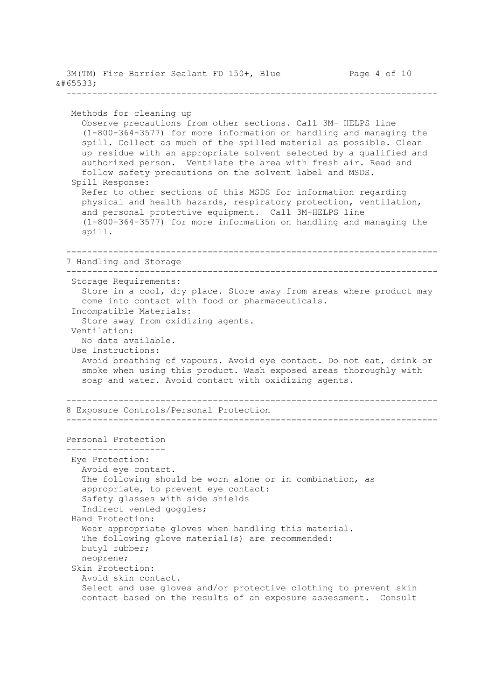| � |                                           |  |  |              |  |
|---|-------------------------------------------|--|--|--------------|--|
|   | 3M(TM) Fire Barrier Sealant FD 150+, Blue |  |  | Page 4 of 10 |  |

```
 Methods for cleaning up
   Observe precautions from other sections. Call 3M- HELPS line
    (1-800-364-3577) for more information on handling and managing the
    spill. Collect as much of the spilled material as possible. Clean
    up residue with an appropriate solvent selected by a qualified and
    authorized person. Ventilate the area with fresh air. Read and
    follow safety precautions on the solvent label and MSDS.
  Spill Response:
    Refer to other sections of this MSDS for information regarding
    physical and health hazards, respiratory protection, ventilation,
    and personal protective equipment. Call 3M-HELPS line
    (1-800-364-3577) for more information on handling and managing the
    spill.
 -----------------------------------------------------------------------
 7 Handling and Storage
 -----------------------------------------------------------------------
  Storage Requirements:
    Store in a cool, dry place. Store away from areas where product may
    come into contact with food or pharmaceuticals.
  Incompatible Materials:
    Store away from oxidizing agents.
 Ventilation:
    No data available.
  Use Instructions:
    Avoid breathing of vapours. Avoid eye contact. Do not eat, drink or
    smoke when using this product. Wash exposed areas thoroughly with
    soap and water. Avoid contact with oxidizing agents.
 -----------------------------------------------------------------------
 8 Exposure Controls/Personal Protection
 -----------------------------------------------------------------------
Personal Protection
 -------------------
 Eye Protection:
   Avoid eye contact.
    The following should be worn alone or in combination, as
    appropriate, to prevent eye contact:
    Safety glasses with side shields
    Indirect vented goggles;
  Hand Protection:
    Wear appropriate gloves when handling this material.
    The following glove material(s) are recommended:
    butyl rubber;
    neoprene;
  Skin Protection:
    Avoid skin contact.
    Select and use gloves and/or protective clothing to prevent skin
    contact based on the results of an exposure assessment. Consult
```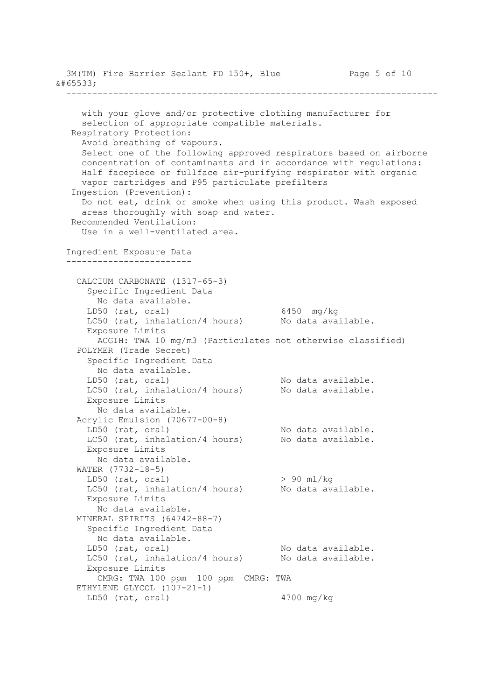3M(TM) Fire Barrier Sealant FD 150+, Blue Page 5 of 10  $\&\#65533$ ; ---------------------------------------------------------------------- with your glove and/or protective clothing manufacturer for selection of appropriate compatible materials. Respiratory Protection: Avoid breathing of vapours. Select one of the following approved respirators based on airborne concentration of contaminants and in accordance with regulations: Half facepiece or fullface air-purifying respirator with organic vapor cartridges and P95 particulate prefilters Ingestion (Prevention): Do not eat, drink or smoke when using this product. Wash exposed areas thoroughly with soap and water. Recommended Ventilation: Use in a well-ventilated area. Ingredient Exposure Data ------------------------ CALCIUM CARBONATE (1317-65-3) Specific Ingredient Data No data available. LD50 (rat, oral) 6450 mg/kg LC50 (rat, inhalation/4 hours) No data available. Exposure Limits ACGIH: TWA 10 mg/m3 (Particulates not otherwise classified) POLYMER (Trade Secret) Specific Ingredient Data No data available. LD50 (rat, oral) and the No data available. LC50 (rat, inhalation/4 hours) No data available. Exposure Limits No data available. Acrylic Emulsion (70677-00-8) LD50 (rat, oral) <br>LC50 (rat, inhalation/4 hours) No data available. LC50 (rat, inhalation/4 hours) Exposure Limits No data available. WATER (7732-18-5) LD50 (rat, oral)  $> 90$  ml/kg LC50 (rat, inhalation/4 hours) No data available. Exposure Limits No data available. MINERAL SPIRITS (64742-88-7) Specific Ingredient Data No data available. LD50 (rat, oral) No data available. LC50 (rat, inhalation/4 hours) No data available. Exposure Limits CMRG: TWA 100 ppm 100 ppm CMRG: TWA ETHYLENE GLYCOL (107-21-1) LD50 (rat, oral) 4700 mg/kg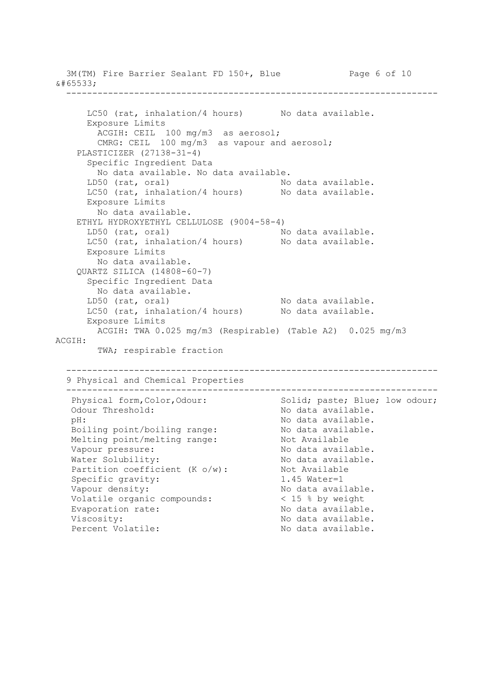3M(TM) Fire Barrier Sealant FD 150+, Blue Page 6 of 10  $\&\#65533$ ; ----------------------------------------------------------------------- LC50 (rat, inhalation/4 hours) No data available. Exposure Limits ACGIH: CEIL 100 mg/m3 as aerosol; CMRG: CEIL 100 mg/m3 as vapour and aerosol; PLASTICIZER (27138-31-4) Specific Ingredient Data No data available. No data available. LD50 (rat, oral) and the No data available. LC50 (rat, inhalation/4 hours) No data available. Exposure Limits No data available. ETHYL HYDROXYETHYL CELLULOSE (9004-58-4) LD50 (rat, oral) and the No data available. LC50 (rat, inhalation/4 hours) No data available. Exposure Limits No data available. QUARTZ SILICA (14808-60-7) Specific Ingredient Data No data available. LD50 (rat, oral) and the No data available. LC50 (rat, inhalation/4 hours) No data available. Exposure Limits ACGIH: TWA 0.025 mg/m3 (Respirable) (Table A2) 0.025 mg/m3 ACGIH: TWA; respirable fraction ----------------------------------------------------------------------- 9 Physical and Chemical Properties ----------------------------------------------------------------------- Physical form, Color, Odour: Solid; paste; Blue; low odour; Odour Threshold: No data available. pH:<br>Boiling point/boiling range: No data available.<br>No data available. Boiling point/boiling range: No data availa<br>Melting point/melting range: Not Available Melting point/melting range: Vapour pressure:  $\blacksquare$  No data available. Water Solubility: No data available. Partition coefficient (K o/w): Not Available Specific gravity:  $1.45$  Water=1 Vapour density:  $\blacksquare$  No data available. Volatile organic compounds: < 15 % by weight Evaporation rate:  $\qquad \qquad \qquad \mathsf{No}$  data available. Viscosity:  $\blacksquare$  No data available. Percent Volatile: No data available.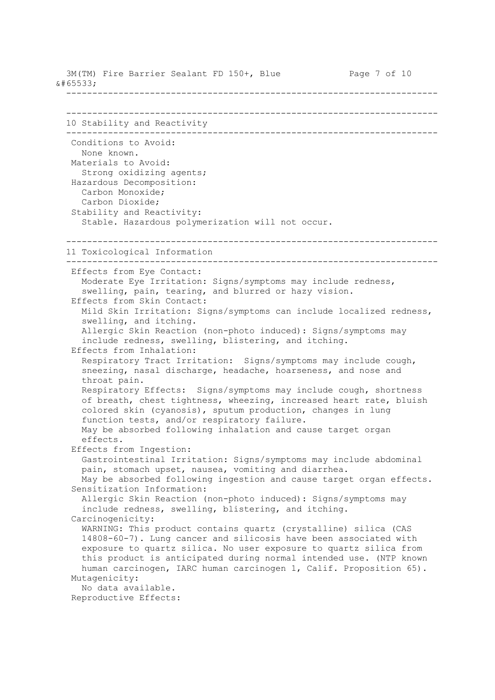3M(TM) Fire Barrier Sealant FD 150+, Blue Page 7 of 10  $\&\#65533$ ; ----------------------------------------------------------------------- ----------------------------------------------------------------------- 10 Stability and Reactivity ----------------------------------------------------------------------- Conditions to Avoid: None known. Materials to Avoid: Strong oxidizing agents; Hazardous Decomposition: Carbon Monoxide; Carbon Dioxide; Stability and Reactivity: Stable. Hazardous polymerization will not occur. ----------------------------------------------------------------------- 11 Toxicological Information ----------------------------------------------------------------------- Effects from Eye Contact: Moderate Eye Irritation: Signs/symptoms may include redness, swelling, pain, tearing, and blurred or hazy vision. Effects from Skin Contact: Mild Skin Irritation: Signs/symptoms can include localized redness, swelling, and itching. Allergic Skin Reaction (non-photo induced): Signs/symptoms may include redness, swelling, blistering, and itching. Effects from Inhalation: Respiratory Tract Irritation: Signs/symptoms may include cough, sneezing, nasal discharge, headache, hoarseness, and nose and throat pain. Respiratory Effects: Signs/symptoms may include cough, shortness of breath, chest tightness, wheezing, increased heart rate, bluish colored skin (cyanosis), sputum production, changes in lung function tests, and/or respiratory failure. May be absorbed following inhalation and cause target organ effects. Effects from Ingestion: Gastrointestinal Irritation: Signs/symptoms may include abdominal pain, stomach upset, nausea, vomiting and diarrhea. May be absorbed following ingestion and cause target organ effects. Sensitization Information: Allergic Skin Reaction (non-photo induced): Signs/symptoms may include redness, swelling, blistering, and itching. Carcinogenicity: WARNING: This product contains quartz (crystalline) silica (CAS 14808-60-7). Lung cancer and silicosis have been associated with exposure to quartz silica. No user exposure to quartz silica from this product is anticipated during normal intended use. (NTP known human carcinogen, IARC human carcinogen 1, Calif. Proposition 65). Mutagenicity: No data available. Reproductive Effects: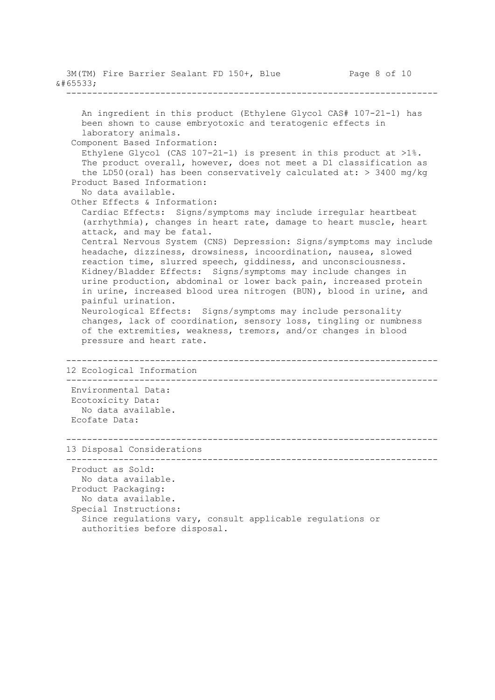```
3M(TM) Fire Barrier Sealant FD 150+, Blue Page 8 of 10
� -----------------------------------------------------------------------
     An ingredient in this product (Ethylene Glycol CAS# 107-21-1) has
     been shown to cause embryotoxic and teratogenic effects in
     laboratory animals.
   Component Based Information:
    Ethylene Glycol (CAS 107-21-1) is present in this product at >1\.
     The product overall, however, does not meet a D1 classification as
    the LD50(oral) has been conservatively calculated at: > 3400 mg/kg
   Product Based Information:
     No data available.
   Other Effects & Information:
     Cardiac Effects: Signs/symptoms may include irregular heartbeat
      (arrhythmia), changes in heart rate, damage to heart muscle, heart
     attack, and may be fatal.
     Central Nervous System (CNS) Depression: Signs/symptoms may include
     headache, dizziness, drowsiness, incoordination, nausea, slowed
     reaction time, slurred speech, giddiness, and unconsciousness.
     Kidney/Bladder Effects: Signs/symptoms may include changes in
     urine production, abdominal or lower back pain, increased protein
     in urine, increased blood urea nitrogen (BUN), blood in urine, and
     painful urination.
     Neurological Effects: Signs/symptoms may include personality
     changes, lack of coordination, sensory loss, tingling or numbness
     of the extremities, weakness, tremors, and/or changes in blood
     pressure and heart rate.
  -----------------------------------------------------------------------
  12 Ecological Information
  -----------------------------------------------------------------------
   Environmental Data:
   Ecotoxicity Data:
     No data available.
   Ecofate Data:
    -----------------------------------------------------------------------
  13 Disposal Considerations
  -----------------------------------------------------------------------
   Product as Sold:
     No data available.
   Product Packaging:
     No data available.
   Special Instructions:
     Since regulations vary, consult applicable regulations or
     authorities before disposal.
```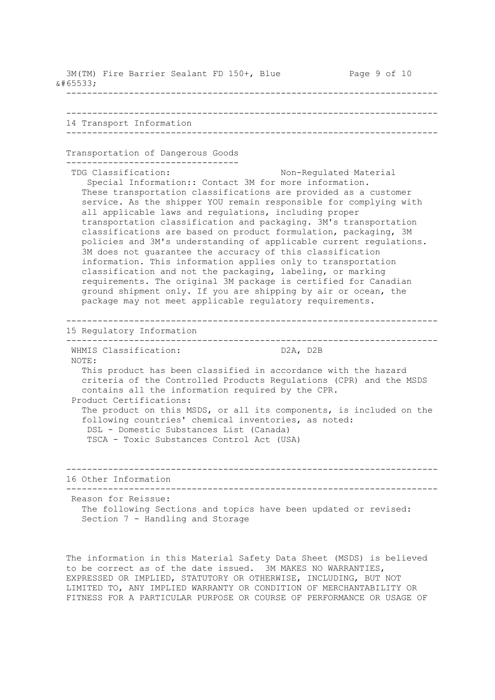3M(TM) Fire Barrier Sealant FD 150+, Blue Page 9 of 10  $\&\#65533$ ; ----------------------------------------------------------------------- ----------------------------------------------------------------------- 14 Transport Information ----------------------------------------------------------------------- Transportation of Dangerous Goods --------------------------------- TDG Classification: Non-Regulated Material Special Information:: Contact 3M for more information. These transportation classifications are provided as a customer service. As the shipper YOU remain responsible for complying with all applicable laws and regulations, including proper transportation classification and packaging. 3M's transportation classifications are based on product formulation, packaging, 3M policies and 3M's understanding of applicable current regulations. 3M does not guarantee the accuracy of this classification information. This information applies only to transportation classification and not the packaging, labeling, or marking requirements. The original 3M package is certified for Canadian ground shipment only. If you are shipping by air or ocean, the package may not meet applicable regulatory requirements. ----------------------------------------------------------------------- 15 Regulatory Information ----------------------------------------------------------------------- WHMIS Classification: D2A, D2B NOTE: This product has been classified in accordance with the hazard criteria of the Controlled Products Regulations (CPR) and the MSDS contains all the information required by the CPR. Product Certifications: The product on this MSDS, or all its components, is included on the following countries' chemical inventories, as noted: DSL - Domestic Substances List (Canada) TSCA - Toxic Substances Control Act (USA) ----------------------------------------------------------------------- 16 Other Information ----------------------------------------------------------------------- Reason for Reissue: The following Sections and topics have been updated or revised: Section 7 - Handling and Storage

 The information in this Material Safety Data Sheet (MSDS) is believed to be correct as of the date issued. 3M MAKES NO WARRANTIES, EXPRESSED OR IMPLIED, STATUTORY OR OTHERWISE, INCLUDING, BUT NOT LIMITED TO, ANY IMPLIED WARRANTY OR CONDITION OF MERCHANTABILITY OR FITNESS FOR A PARTICULAR PURPOSE OR COURSE OF PERFORMANCE OR USAGE OF